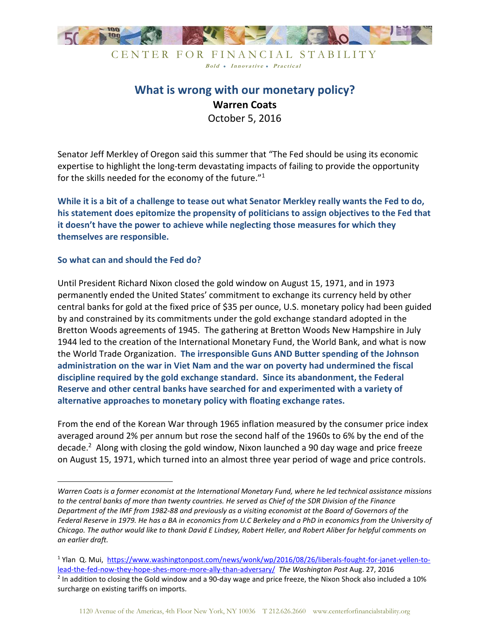

## **What is wrong with our monetary policy? Warren Coats**  October 5, 2016

Senator Jeff Merkley of Oregon said this summer that "The Fed should be using its economic expertise to highlight the long-term devastating impacts of failing to provide the opportunity for the skills needed for the economy of the future."<sup>1</sup>

**While it is a bit of a challenge to tease out what Senator Merkley really wants the Fed to do, his statement does epitomize the propensity of politicians to assign objectives to the Fed that it doesn't have the power to achieve while neglecting those measures for which they themselves are responsible.** 

## **So what can and should the Fed do?**

-

Until President Richard Nixon closed the gold window on August 15, 1971, and in 1973 permanently ended the United States' commitment to exchange its currency held by other central banks for gold at the fixed price of \$35 per ounce, U.S. monetary policy had been guided by and constrained by its commitments under the gold exchange standard adopted in the Bretton Woods agreements of 1945. The gathering at Bretton Woods New Hampshire in July 1944 led to the creation of the International Monetary Fund, the World Bank, and what is now the World Trade Organization. **The irresponsible Guns AND Butter spending of the Johnson administration on the war in Viet Nam and the war on poverty had undermined the fiscal discipline required by the gold exchange standard. Since its abandonment, the Federal Reserve and other central banks have searched for and experimented with a variety of alternative approaches to monetary policy with floating exchange rates.** 

From the end of the Korean War through 1965 inflation measured by the consumer price index averaged around 2% per annum but rose the second half of the 1960s to 6% by the end of the decade.<sup>2</sup> Along with closing the gold window, Nixon launched a 90 day wage and price freeze on August 15, 1971, which turned into an almost three year period of wage and price controls.

*Warren Coats is a former economist at the International Monetary Fund, where he led technical assistance missions to the central banks of more than twenty countries. He served as Chief of the SDR Division of the Finance Department of the IMF from 1982-88 and previously as a visiting economist at the Board of Governors of the Federal Reserve in 1979. He has a BA in economics from U.C Berkeley and a PhD in economics from the University of Chicago. The author would like to thank David E Lindsey, Robert Heller, and Robert Aliber for helpful comments on an earlier draft.* 

<sup>&</sup>lt;sup>1</sup> Ylan Q. Mui, https://www.washingtonpost.com/news/wonk/wp/2016/08/26/liberals-fought-for-janet-yellen-tolead-the-fed-now-they-hope-shes-more-more-ally-than-adversary/ *The Washington Post* Aug. 27, 2016  $2$  In addition to closing the Gold window and a 90-day wage and price freeze, the Nixon Shock also included a 10% surcharge on existing tariffs on imports.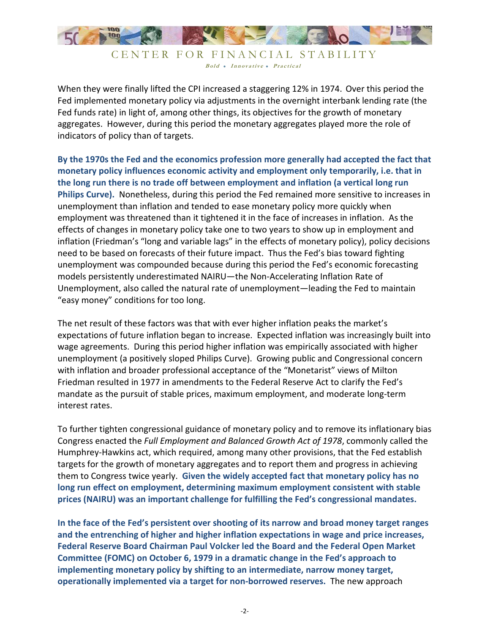

When they were finally lifted the CPI increased a staggering 12% in 1974. Over this period the Fed implemented monetary policy via adjustments in the overnight interbank lending rate (the Fed funds rate) in light of, among other things, its objectives for the growth of monetary aggregates. However, during this period the monetary aggregates played more the role of indicators of policy than of targets.

**By the 1970s the Fed and the economics profession more generally had accepted the fact that monetary policy influences economic activity and employment only temporarily, i.e. that in the long run there is no trade off between employment and inflation (a vertical long run Philips Curve).** Nonetheless, during this period the Fed remained more sensitive to increases in unemployment than inflation and tended to ease monetary policy more quickly when employment was threatened than it tightened it in the face of increases in inflation. As the effects of changes in monetary policy take one to two years to show up in employment and inflation (Friedman's "long and variable lags" in the effects of monetary policy), policy decisions need to be based on forecasts of their future impact. Thus the Fed's bias toward fighting unemployment was compounded because during this period the Fed's economic forecasting models persistently underestimated NAIRU—the Non-Accelerating Inflation Rate of Unemployment, also called the natural rate of unemployment—leading the Fed to maintain "easy money" conditions for too long.

The net result of these factors was that with ever higher inflation peaks the market's expectations of future inflation began to increase. Expected inflation was increasingly built into wage agreements. During this period higher inflation was empirically associated with higher unemployment (a positively sloped Philips Curve). Growing public and Congressional concern with inflation and broader professional acceptance of the "Monetarist" views of Milton Friedman resulted in 1977 in amendments to the Federal Reserve Act to clarify the Fed's mandate as the pursuit of stable prices, maximum employment, and moderate long-term interest rates.

To further tighten congressional guidance of monetary policy and to remove its inflationary bias Congress enacted the *Full Employment and Balanced Growth Act of 1978*, commonly called the Humphrey-Hawkins act, which required, among many other provisions, that the Fed establish targets for the growth of monetary aggregates and to report them and progress in achieving them to Congress twice yearly. **Given the widely accepted fact that monetary policy has no long run effect on employment, determining maximum employment consistent with stable prices (NAIRU) was an important challenge for fulfilling the Fed's congressional mandates.** 

**In the face of the Fed's persistent over shooting of its narrow and broad money target ranges and the entrenching of higher and higher inflation expectations in wage and price increases, Federal Reserve Board Chairman Paul Volcker led the Board and the Federal Open Market Committee (FOMC) on October 6, 1979 in a dramatic change in the Fed's approach to implementing monetary policy by shifting to an intermediate, narrow money target, operationally implemented via a target for non-borrowed reserves.** The new approach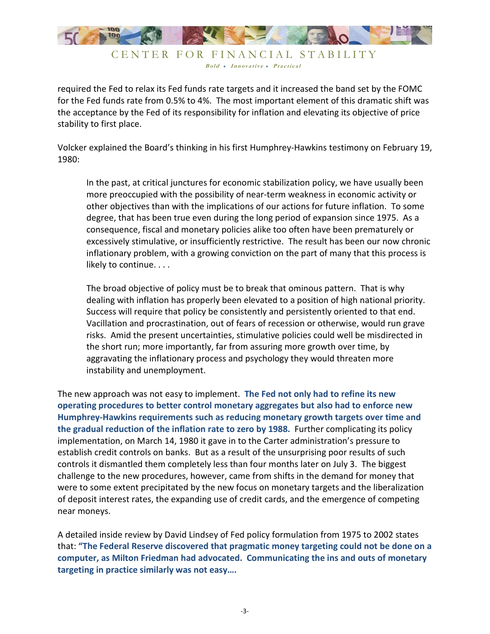

required the Fed to relax its Fed funds rate targets and it increased the band set by the FOMC for the Fed funds rate from 0.5% to 4%. The most important element of this dramatic shift was the acceptance by the Fed of its responsibility for inflation and elevating its objective of price stability to first place.

Volcker explained the Board's thinking in his first Humphrey-Hawkins testimony on February 19, 1980:

In the past, at critical junctures for economic stabilization policy, we have usually been more preoccupied with the possibility of near-term weakness in economic activity or other objectives than with the implications of our actions for future inflation. To some degree, that has been true even during the long period of expansion since 1975. As a consequence, fiscal and monetary policies alike too often have been prematurely or excessively stimulative, or insufficiently restrictive. The result has been our now chronic inflationary problem, with a growing conviction on the part of many that this process is likely to continue. . . .

The broad objective of policy must be to break that ominous pattern. That is why dealing with inflation has properly been elevated to a position of high national priority. Success will require that policy be consistently and persistently oriented to that end. Vacillation and procrastination, out of fears of recession or otherwise, would run grave risks. Amid the present uncertainties, stimulative policies could well be misdirected in the short run; more importantly, far from assuring more growth over time, by aggravating the inflationary process and psychology they would threaten more instability and unemployment.

The new approach was not easy to implement. **The Fed not only had to refine its new operating procedures to better control monetary aggregates but also had to enforce new Humphrey-Hawkins requirements such as reducing monetary growth targets over time and the gradual reduction of the inflation rate to zero by 1988.** Further complicating its policy implementation, on March 14, 1980 it gave in to the Carter administration's pressure to establish credit controls on banks. But as a result of the unsurprising poor results of such controls it dismantled them completely less than four months later on July 3. The biggest challenge to the new procedures, however, came from shifts in the demand for money that were to some extent precipitated by the new focus on monetary targets and the liberalization of deposit interest rates, the expanding use of credit cards, and the emergence of competing near moneys.

A detailed inside review by David Lindsey of Fed policy formulation from 1975 to 2002 states that: **"The Federal Reserve discovered that pragmatic money targeting could not be done on a computer, as Milton Friedman had advocated. Communicating the ins and outs of monetary targeting in practice similarly was not easy….**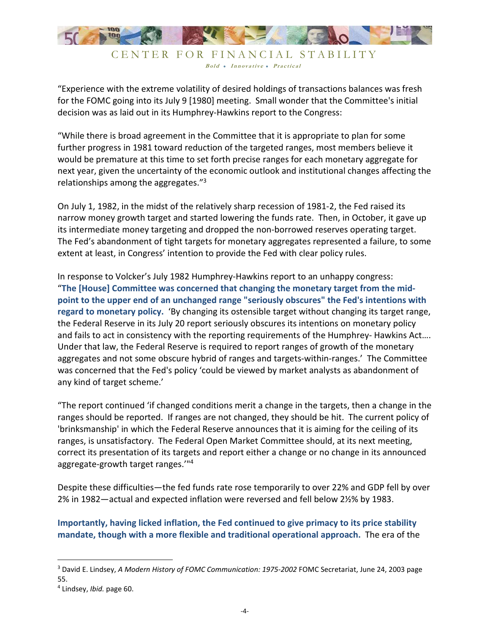

"Experience with the extreme volatility of desired holdings of transactions balances was fresh for the FOMC going into its July 9 [1980] meeting. Small wonder that the Committee's initial decision was as laid out in its Humphrey-Hawkins report to the Congress:

"While there is broad agreement in the Committee that it is appropriate to plan for some further progress in 1981 toward reduction of the targeted ranges, most members believe it would be premature at this time to set forth precise ranges for each monetary aggregate for next year, given the uncertainty of the economic outlook and institutional changes affecting the relationships among the aggregates."<sup>3</sup>

On July 1, 1982, in the midst of the relatively sharp recession of 1981-2, the Fed raised its narrow money growth target and started lowering the funds rate. Then, in October, it gave up its intermediate money targeting and dropped the non-borrowed reserves operating target. The Fed's abandonment of tight targets for monetary aggregates represented a failure, to some extent at least, in Congress' intention to provide the Fed with clear policy rules.

In response to Volcker's July 1982 Humphrey-Hawkins report to an unhappy congress: "**The [House] Committee was concerned that changing the monetary target from the midpoint to the upper end of an unchanged range "seriously obscures" the Fed's intentions with regard to monetary policy.** 'By changing its ostensible target without changing its target range, the Federal Reserve in its July 20 report seriously obscures its intentions on monetary policy and fails to act in consistency with the reporting requirements of the Humphrey- Hawkins Act…. Under that law, the Federal Reserve is required to report ranges of growth of the monetary aggregates and not some obscure hybrid of ranges and targets-within-ranges.' The Committee was concerned that the Fed's policy 'could be viewed by market analysts as abandonment of any kind of target scheme.'

"The report continued 'if changed conditions merit a change in the targets, then a change in the ranges should be reported. If ranges are not changed, they should be hit. The current policy of 'brinksmanship' in which the Federal Reserve announces that it is aiming for the ceiling of its ranges, is unsatisfactory. The Federal Open Market Committee should, at its next meeting, correct its presentation of its targets and report either a change or no change in its announced aggregate-growth target ranges.'"<sup>4</sup>

Despite these difficulties—the fed funds rate rose temporarily to over 22% and GDP fell by over 2% in 1982—actual and expected inflation were reversed and fell below 2½% by 1983.

**Importantly, having licked inflation, the Fed continued to give primacy to its price stability mandate, though with a more flexible and traditional operational approach.** The era of the

<u>.</u>

<sup>3</sup> David E. Lindsey, *A Modern History of FOMC Communication: 1975-2002* FOMC Secretariat, June 24, 2003 page 55.

<sup>4</sup> Lindsey, *Ibid.* page 60.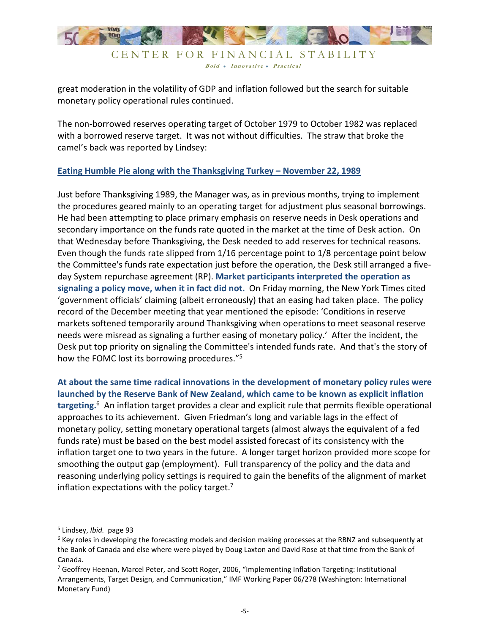

great moderation in the volatility of GDP and inflation followed but the search for suitable monetary policy operational rules continued.

The non-borrowed reserves operating target of October 1979 to October 1982 was replaced with a borrowed reserve target. It was not without difficulties. The straw that broke the camel's back was reported by Lindsey:

## **Eating Humble Pie along with the Thanksgiving Turkey – November 22, 1989**

Just before Thanksgiving 1989, the Manager was, as in previous months, trying to implement the procedures geared mainly to an operating target for adjustment plus seasonal borrowings. He had been attempting to place primary emphasis on reserve needs in Desk operations and secondary importance on the funds rate quoted in the market at the time of Desk action. On that Wednesday before Thanksgiving, the Desk needed to add reserves for technical reasons. Even though the funds rate slipped from 1/16 percentage point to 1/8 percentage point below the Committee's funds rate expectation just before the operation, the Desk still arranged a fiveday System repurchase agreement (RP). **Market participants interpreted the operation as signaling a policy move, when it in fact did not.** On Friday morning, the New York Times cited 'government officials' claiming (albeit erroneously) that an easing had taken place. The policy record of the December meeting that year mentioned the episode: 'Conditions in reserve markets softened temporarily around Thanksgiving when operations to meet seasonal reserve needs were misread as signaling a further easing of monetary policy.' After the incident, the Desk put top priority on signaling the Committee's intended funds rate. And that's the story of how the FOMC lost its borrowing procedures."<sup>5</sup>

**At about the same time radical innovations in the development of monetary policy rules were launched by the Reserve Bank of New Zealand, which came to be known as explicit inflation targeting.**<sup>6</sup> An inflation target provides a clear and explicit rule that permits flexible operational approaches to its achievement. Given Friedman's long and variable lags in the effect of monetary policy, setting monetary operational targets (almost always the equivalent of a fed funds rate) must be based on the best model assisted forecast of its consistency with the inflation target one to two years in the future. A longer target horizon provided more scope for smoothing the output gap (employment). Full transparency of the policy and the data and reasoning underlying policy settings is required to gain the benefits of the alignment of market inflation expectations with the policy target. $7$ 

-

<sup>5</sup> Lindsey, *Ibid.* page 93

<sup>&</sup>lt;sup>6</sup> Key roles in developing the forecasting models and decision making processes at the RBNZ and subsequently at the Bank of Canada and else where were played by Doug Laxton and David Rose at that time from the Bank of Canada.

<sup>&</sup>lt;sup>7</sup> Geoffrey Heenan, Marcel Peter, and Scott Roger, 2006, "Implementing Inflation Targeting: Institutional Arrangements, Target Design, and Communication," IMF Working Paper 06/278 (Washington: International Monetary Fund)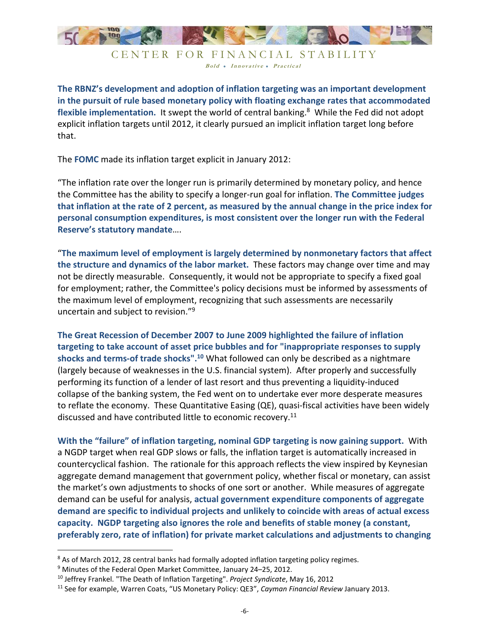

**The RBNZ's development and adoption of inflation targeting was an important development in the pursuit of rule based monetary policy with floating exchange rates that accommodated**  flexible implementation. It swept the world of central banking.<sup>8</sup> While the Fed did not adopt explicit inflation targets until 2012, it clearly pursued an implicit inflation target long before that.

The **FOMC** made its inflation target explicit in January 2012:

"The inflation rate over the longer run is primarily determined by monetary policy, and hence the Committee has the ability to specify a longer-run goal for inflation. **The Committee judges that inflation at the rate of 2 percent, as measured by the annual change in the price index for personal consumption expenditures, is most consistent over the longer run with the Federal Reserve's statutory mandate**….

"**The maximum level of employment is largely determined by nonmonetary factors that affect the structure and dynamics of the labor market.** These factors may change over time and may not be directly measurable. Consequently, it would not be appropriate to specify a fixed goal for employment; rather, the Committee's policy decisions must be informed by assessments of the maximum level of employment, recognizing that such assessments are necessarily uncertain and subject to revision."<sup>9</sup>

**The Great Recession of December 2007 to June 2009 highlighted the failure of inflation targeting to take account of asset price bubbles and for "inappropriate responses to supply shocks and terms-of trade shocks".<sup>10</sup>** What followed can only be described as a nightmare (largely because of weaknesses in the U.S. financial system). After properly and successfully performing its function of a lender of last resort and thus preventing a liquidity-induced collapse of the banking system, the Fed went on to undertake ever more desperate measures to reflate the economy. These Quantitative Easing (QE), quasi-fiscal activities have been widely discussed and have contributed little to economic recovery.<sup>11</sup>

**With the "failure" of inflation targeting, nominal GDP targeting is now gaining support.** With a NGDP target when real GDP slows or falls, the inflation target is automatically increased in countercyclical fashion. The rationale for this approach reflects the view inspired by Keynesian aggregate demand management that government policy, whether fiscal or monetary, can assist the market's own adjustments to shocks of one sort or another. While measures of aggregate demand can be useful for analysis, **actual government expenditure components of aggregate demand are specific to individual projects and unlikely to coincide with areas of actual excess capacity. NGDP targeting also ignores the role and benefits of stable money (a constant, preferably zero, rate of inflation) for private market calculations and adjustments to changing** 

.<br>-

<sup>&</sup>lt;sup>8</sup> As of March 2012, 28 central banks had formally adopted inflation targeting policy regimes.

<sup>&</sup>lt;sup>9</sup> Minutes of the Federal Open Market Committee, January 24–25, 2012.

<sup>10</sup> Jeffrey Frankel. "The Death of Inflation Targeting". *Project Syndicate*, May 16, 2012

<sup>11</sup> See for example, Warren Coats, "US Monetary Policy: QE3", *Cayman Financial Review* January 2013.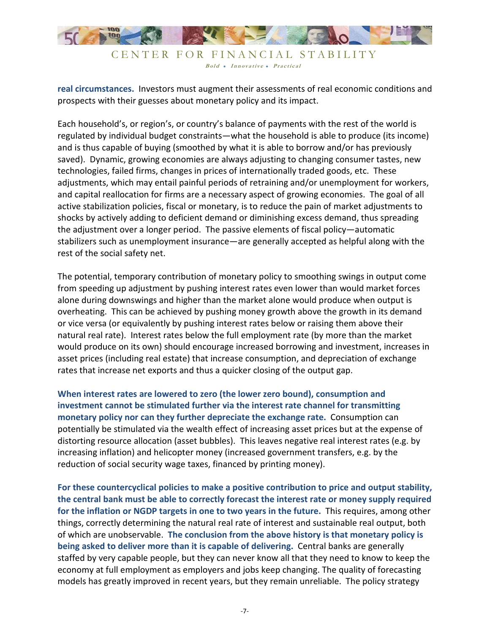

**real circumstances.** Investors must augment their assessments of real economic conditions and prospects with their guesses about monetary policy and its impact.

Each household's, or region's, or country's balance of payments with the rest of the world is regulated by individual budget constraints—what the household is able to produce (its income) and is thus capable of buying (smoothed by what it is able to borrow and/or has previously saved). Dynamic, growing economies are always adjusting to changing consumer tastes, new technologies, failed firms, changes in prices of internationally traded goods, etc. These adjustments, which may entail painful periods of retraining and/or unemployment for workers, and capital reallocation for firms are a necessary aspect of growing economies. The goal of all active stabilization policies, fiscal or monetary, is to reduce the pain of market adjustments to shocks by actively adding to deficient demand or diminishing excess demand, thus spreading the adjustment over a longer period. The passive elements of fiscal policy—automatic stabilizers such as unemployment insurance—are generally accepted as helpful along with the rest of the social safety net.

The potential, temporary contribution of monetary policy to smoothing swings in output come from speeding up adjustment by pushing interest rates even lower than would market forces alone during downswings and higher than the market alone would produce when output is overheating. This can be achieved by pushing money growth above the growth in its demand or vice versa (or equivalently by pushing interest rates below or raising them above their natural real rate). Interest rates below the full employment rate (by more than the market would produce on its own) should encourage increased borrowing and investment, increases in asset prices (including real estate) that increase consumption, and depreciation of exchange rates that increase net exports and thus a quicker closing of the output gap.

**When interest rates are lowered to zero (the lower zero bound), consumption and investment cannot be stimulated further via the interest rate channel for transmitting monetary policy nor can they further depreciate the exchange rate.** Consumption can potentially be stimulated via the wealth effect of increasing asset prices but at the expense of distorting resource allocation (asset bubbles). This leaves negative real interest rates (e.g. by increasing inflation) and helicopter money (increased government transfers, e.g. by the reduction of social security wage taxes, financed by printing money).

**For these countercyclical policies to make a positive contribution to price and output stability, the central bank must be able to correctly forecast the interest rate or money supply required for the inflation or NGDP targets in one to two years in the future.** This requires, among other things, correctly determining the natural real rate of interest and sustainable real output, both of which are unobservable. **The conclusion from the above history is that monetary policy is being asked to deliver more than it is capable of delivering.** Central banks are generally staffed by very capable people, but they can never know all that they need to know to keep the economy at full employment as employers and jobs keep changing. The quality of forecasting models has greatly improved in recent years, but they remain unreliable. The policy strategy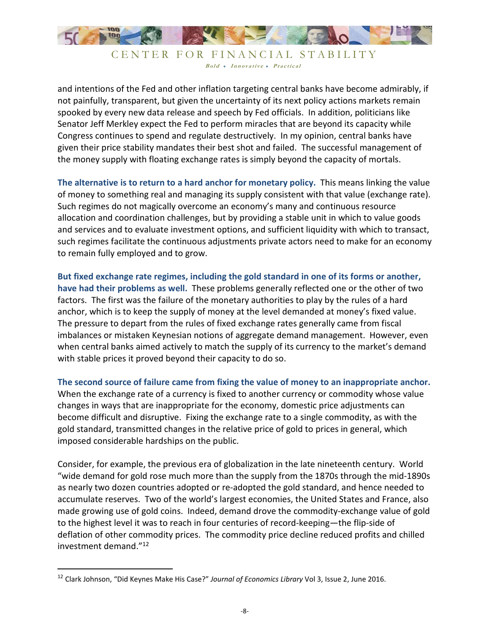

and intentions of the Fed and other inflation targeting central banks have become admirably, if not painfully, transparent, but given the uncertainty of its next policy actions markets remain spooked by every new data release and speech by Fed officials. In addition, politicians like Senator Jeff Merkley expect the Fed to perform miracles that are beyond its capacity while Congress continues to spend and regulate destructively. In my opinion, central banks have given their price stability mandates their best shot and failed. The successful management of the money supply with floating exchange rates is simply beyond the capacity of mortals.

**The alternative is to return to a hard anchor for monetary policy.** This means linking the value of money to something real and managing its supply consistent with that value (exchange rate). Such regimes do not magically overcome an economy's many and continuous resource allocation and coordination challenges, but by providing a stable unit in which to value goods and services and to evaluate investment options, and sufficient liquidity with which to transact, such regimes facilitate the continuous adjustments private actors need to make for an economy to remain fully employed and to grow.

**But fixed exchange rate regimes, including the gold standard in one of its forms or another, have had their problems as well.** These problems generally reflected one or the other of two factors. The first was the failure of the monetary authorities to play by the rules of a hard anchor, which is to keep the supply of money at the level demanded at money's fixed value. The pressure to depart from the rules of fixed exchange rates generally came from fiscal imbalances or mistaken Keynesian notions of aggregate demand management. However, even when central banks aimed actively to match the supply of its currency to the market's demand with stable prices it proved beyond their capacity to do so.

**The second source of failure came from fixing the value of money to an inappropriate anchor.** When the exchange rate of a currency is fixed to another currency or commodity whose value changes in ways that are inappropriate for the economy, domestic price adjustments can become difficult and disruptive. Fixing the exchange rate to a single commodity, as with the gold standard, transmitted changes in the relative price of gold to prices in general, which imposed considerable hardships on the public.

Consider, for example, the previous era of globalization in the late nineteenth century. World "wide demand for gold rose much more than the supply from the 1870s through the mid-1890s as nearly two dozen countries adopted or re-adopted the gold standard, and hence needed to accumulate reserves. Two of the world's largest economies, the United States and France, also made growing use of gold coins. Indeed, demand drove the commodity-exchange value of gold to the highest level it was to reach in four centuries of record-keeping—the flip-side of deflation of other commodity prices. The commodity price decline reduced profits and chilled investment demand."<sup>12</sup>

-

<sup>12</sup> Clark Johnson, "Did Keynes Make His Case?" *Journal of Economics Library* Vol 3, Issue 2, June 2016.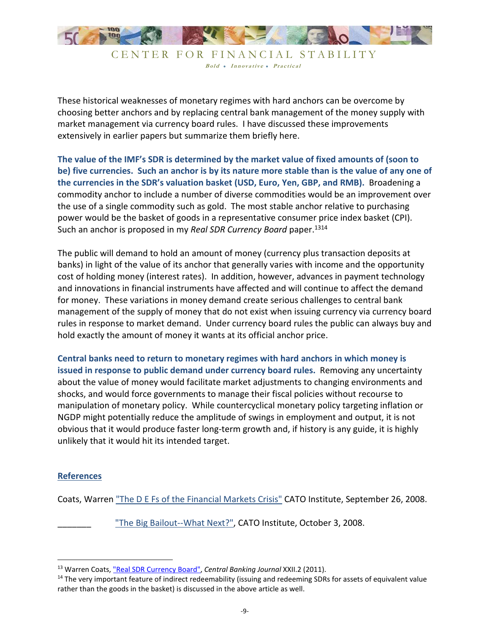

These historical weaknesses of monetary regimes with hard anchors can be overcome by choosing better anchors and by replacing central bank management of the money supply with market management via currency board rules. I have discussed these improvements extensively in earlier papers but summarize them briefly here.

**The value of the IMF's SDR is determined by the market value of fixed amounts of (soon to be) five currencies. Such an anchor is by its nature more stable than is the value of any one of the currencies in the SDR's valuation basket (USD, Euro, Yen, GBP, and RMB).** Broadening a commodity anchor to include a number of diverse commodities would be an improvement over the use of a single commodity such as gold. The most stable anchor relative to purchasing power would be the basket of goods in a representative consumer price index basket (CPI). Such an anchor is proposed in my *Real SDR Currency Board* paper.<sup>1314</sup>

The public will demand to hold an amount of money (currency plus transaction deposits at banks) in light of the value of its anchor that generally varies with income and the opportunity cost of holding money (interest rates). In addition, however, advances in payment technology and innovations in financial instruments have affected and will continue to affect the demand for money. These variations in money demand create serious challenges to central bank management of the supply of money that do not exist when issuing currency via currency board rules in response to market demand. Under currency board rules the public can always buy and hold exactly the amount of money it wants at its official anchor price.

**Central banks need to return to monetary regimes with hard anchors in which money is issued in response to public demand under currency board rules.** Removing any uncertainty about the value of money would facilitate market adjustments to changing environments and shocks, and would force governments to manage their fiscal policies without recourse to manipulation of monetary policy. While countercyclical monetary policy targeting inflation or NGDP might potentially reduce the amplitude of swings in employment and output, it is not obvious that it would produce faster long-term growth and, if history is any guide, it is highly unlikely that it would hit its intended target.

## **References**

<u>.</u>

Coats, Warren "The D E Fs of the Financial Markets Crisis" CATO Institute, September 26, 2008.

"The Big Bailout--What Next?", CATO Institute, October 3, 2008.

<sup>13</sup> Warren Coats, "Real SDR Currency Board", *Central Banking Journal* XXII.2 (2011).

<sup>&</sup>lt;sup>14</sup> The very important feature of indirect redeemability (issuing and redeeming SDRs for assets of equivalent value rather than the goods in the basket) is discussed in the above article as well.